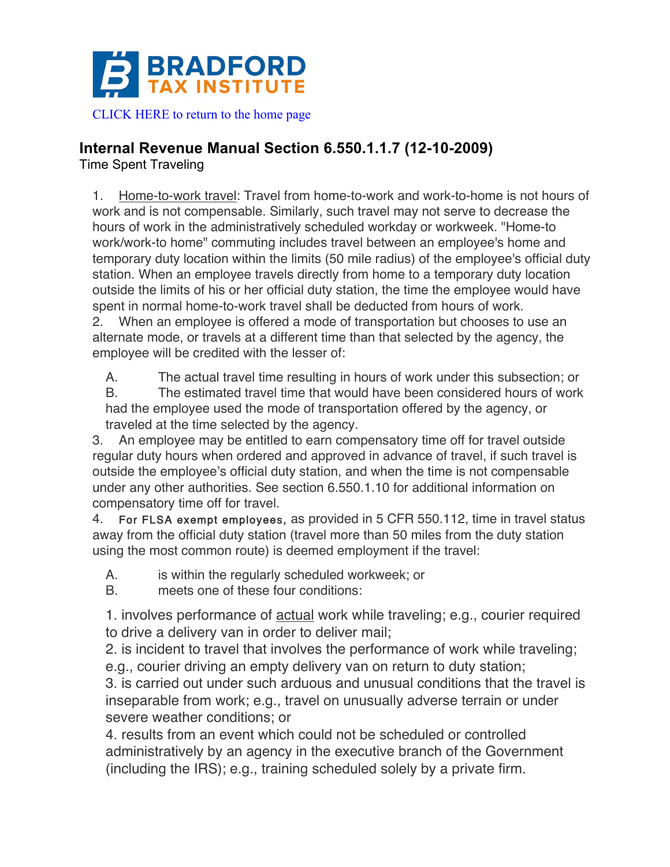

## **Internal Revenue Manual Section 6.550.1.1.7 (12-10-2009)**

Time Spent Traveling

1. Home-to-work travel: Travel from home-to-work and work-to-home is not hours of work and is not compensable. Similarly, such travel may not serve to decrease the hours of work in the administratively scheduled workday or workweek. "Home-to work/work-to home" commuting includes travel between an employee's home and temporary duty location within the limits (50 mile radius) of the employee's official duty station. When an employee travels directly from home to a temporary duty location outside the limits of his or her official duty station, the time the employee would have spent in normal home-to-work travel shall be deducted from hours of work.

2. When an employee is offered a mode of transportation but chooses to use an alternate mode, or travels at a different time than that selected by the agency, the employee will be credited with the lesser of:

A. The actual travel time resulting in hours of work under this subsection; or

B. The estimated travel time that would have been considered hours of work had the employee used the mode of transportation offered by the agency, or traveled at the time selected by the agency.

3. An employee may be entitled to earn compensatory time off for travel outside regular duty hours when ordered and approved in advance of travel, if such travel is outside the employee's official duty station, and when the time is not compensable under any other authorities. See section 6.550.1.10 for additional information on compensatory time off for travel.

4. For FLSA exempt employees, as provided in 5 CFR 550.112, time in travel status away from the official duty station (travel more than 50 miles from the duty station using the most common route) is deemed employment if the travel:

- A. is within the regularly scheduled workweek; or
- B. meets one of these four conditions:

1. involves performance of actual work while traveling; e.g., courier required to drive a delivery van in order to deliver mail;

2. is incident to travel that involves the performance of work while traveling; e.g., courier driving an empty delivery van on return to duty station;

3. is carried out under such arduous and unusual conditions that the travel is inseparable from work; e.g., travel on unusually adverse terrain or under severe weather conditions; or

4. results from an event which could not be scheduled or controlled administratively by an agency in the executive branch of the Government (including the IRS); e.g., training scheduled solely by a private firm.